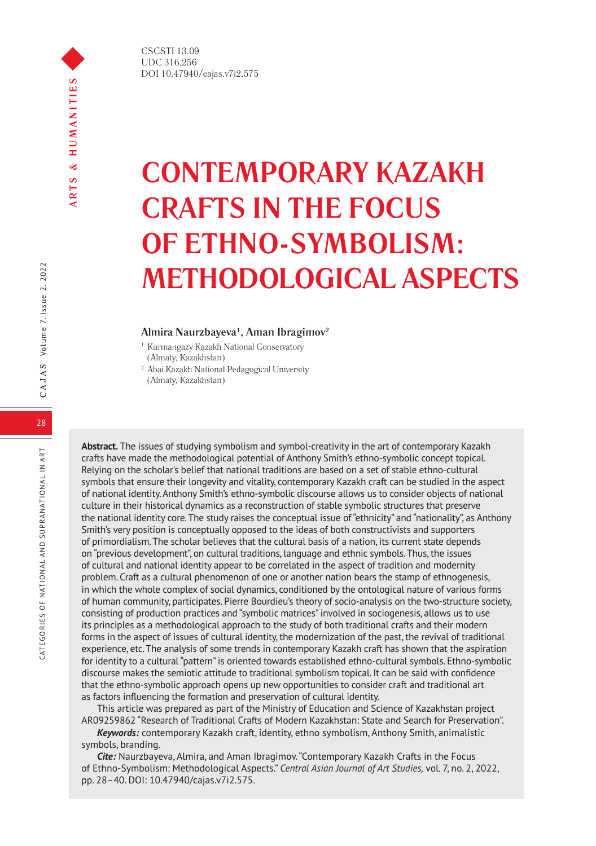# **CONTEMPORARY KAZAKH CRAFTS IN THE FOCUS OF ETHNO-SYMBOLISM: METHODOLOGICAL ASPECTS**

# **Almira Naurzbayeva1 , Aman Ibragimov2**

- <sup>1</sup> Kurmangazy Kazakh National Conservatory (Almaty, Kazakhstan)
- 
- <sup>2</sup> Abai Kazakh National Pedagogical University (Almaty, Kazakhstan)

**Abstract.** The issues of studying symbolism and symbol-creativity in the art of contemporary Kazakh crafts have made the methodological potential of Anthony Smith's ethno-symbolic concept topical. Relying on the scholar's belief that national traditions are based on a set of stable ethno-cultural symbols that ensure their longevity and vitality, contemporary Kazakh craft can be studied in the aspect of national identity. Anthony Smith's ethno-symbolic discourse allows us to consider objects of national culture in their historical dynamics as a reconstruction of stable symbolic structures that preserve the national identity core. The study raises the conceptual issue of "ethnicity" and "nationality", as Anthony Smith's very position is conceptually opposed to the ideas of both constructivists and supporters of primordialism. The scholar believes that the cultural basis of a nation, its current state depends on "previous development", on cultural traditions, language and ethnic symbols. Thus, the issues of cultural and national identity appear to be correlated in the aspect of tradition and modernity problem. Craft as a cultural phenomenon of one or another nation bears the stamp of ethnogenesis, in which the whole complex of social dynamics, conditioned by the ontological nature of various forms of human community, participates. Pierre Bourdieu's theory of socio-analysis on the two-structure society, consisting of production practices and "symbolic matrices" involved in sociogenesis, allows us to use its principles as a methodological approach to the study of both traditional crafts and their modern forms in the aspect of issues of cultural identity, the modernization of the past, the revival of traditional experience, etc. The analysis of some trends in contemporary Kazakh craft has shown that the aspiration for identity to a cultural "pattern" is oriented towards established ethno-cultural symbols. Ethno-symbolic discourse makes the semiotic attitude to traditional symbolism topical. It can be said with confidence that the ethno-symbolic approach opens up new opportunities to consider craft and traditional art as factors influencing the formation and preservation of cultural identity.

This article was prepared as part of the Ministry of Education and Science of Kazakhstan project AR09259862 "Research of Traditional Crafts of Modern Kazakhstan: State and Search for Preservation".

*Keywords:* contemporary Kazakh craft, identity, ethno symbolism, Anthony Smith, animalistic symbols, branding.

*Cite:* Naurzbayeva, Almira, and Aman Ibragimov. "Contemporary Kazakh Crafts in the Focus of Ethno-Symbolism: Methodological Aspects." *Central Asian Journal of Art Studies,* vol. 7, no. 2, 2022, pp. 28–40. DOI: 10.47940/cajas.v7i2.575.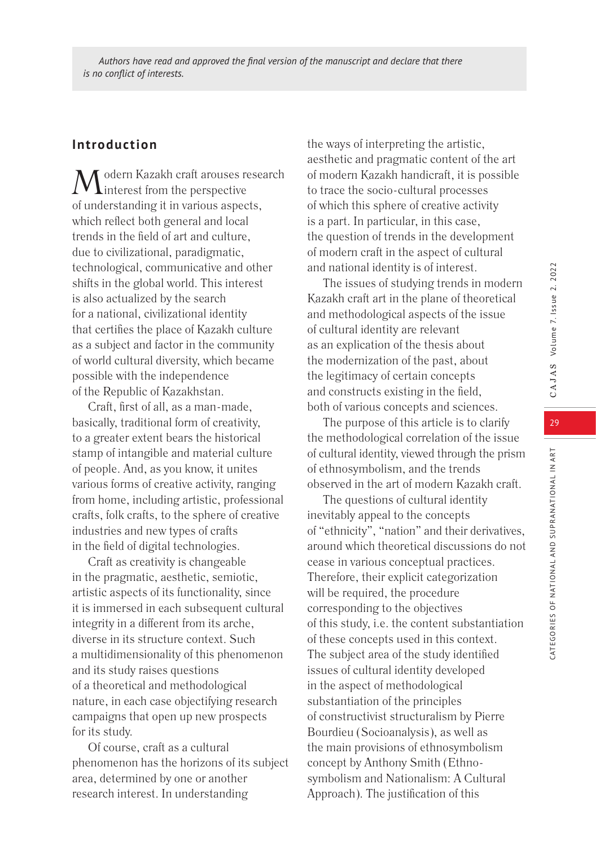# **Introduction**

odern Kazakh craft arouses research interest from the perspective of understanding it in various aspects, which reflect both general and local trends in the field of art and culture, due to civilizational, paradigmatic, technological, communicative and other shifts in the global world. This interest is also actualized by the search for a national, civilizational identity that certifies the place of Kazakh culture as a subject and factor in the community of world cultural diversity, which became possible with the independence of the Republic of Kazakhstan.

Craft, first of all, as a man-made, basically, traditional form of creativity, to a greater extent bears the historical stamp of intangible and material culture of people. And, as you know, it unites various forms of creative activity, ranging from home, including artistic, professional crafts, folk crafts, to the sphere of creative industries and new types of crafts in the field of digital technologies.

Craft as creativity is changeable in the pragmatic, aesthetic, semiotic, artistic aspects of its functionality, since it is immersed in each subsequent cultural integrity in a different from its arche, diverse in its structure context. Such a multidimensionality of this phenomenon and its study raises questions of a theoretical and methodological nature, in each case objectifying research campaigns that open up new prospects for its study.

Of course, craft as a cultural phenomenon has the horizons of its subject area, determined by one or another research interest. In understanding

the ways of interpreting the artistic, aesthetic and pragmatic content of the art of modern Kazakh handicraft, it is possible to trace the socio-cultural processes of which this sphere of creative activity is a part. In particular, in this case, the question of trends in the development of modern craft in the aspect of cultural and national identity is of interest.

The issues of studying trends in modern Kazakh craft art in the plane of theoretical and methodological aspects of the issue of cultural identity are relevant as an explication of the thesis about the modernization of the past, about the legitimacy of certain concepts and constructs existing in the field, both of various concepts and sciences.

The purpose of this article is to clarify the methodological correlation of the issue of cultural identity, viewed through the prism of ethnosymbolism, and the trends observed in the art of modern Kazakh craft.

The questions of cultural identity inevitably appeal to the concepts of "ethnicity", "nation" and their derivatives, around which theoretical discussions do not cease in various conceptual practices. Therefore, their explicit categorization will be required, the procedure corresponding to the objectives of this study, i.e. the content substantiation of these concepts used in this context. The subject area of the study identified issues of cultural identity developed in the aspect of methodological substantiation of the principles of constructivist structuralism by Pierre Bourdieu (Socioanalysis), as well as the main provisions of ethnosymbolism concept by Anthony Smith (Ethnosymbolism and Nationalism: A Cultural Approach). The justification of this

CATEGORIES OF NATIONAL AND SUPRANATIONAL IN ART

CATEGORIES OF NATIONAL AND SUPRANATIONAL IN ART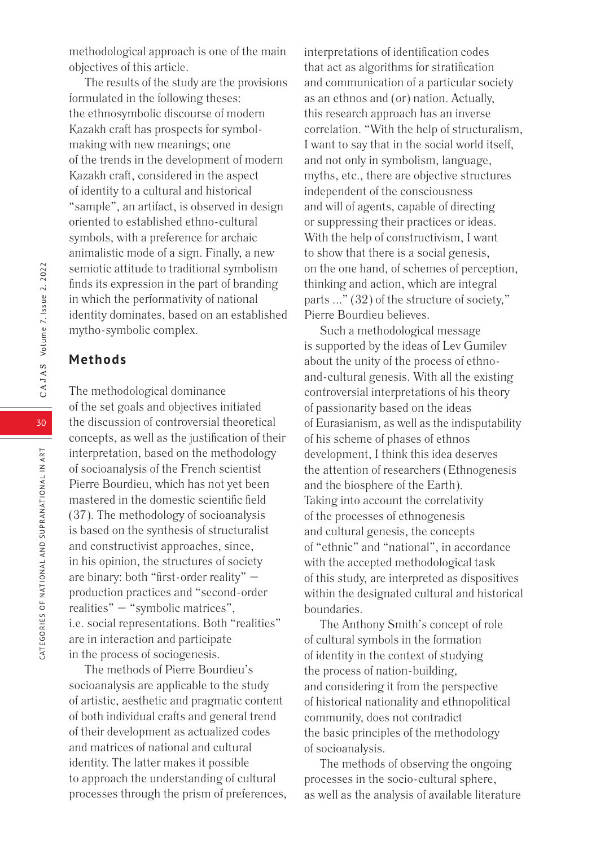methodological approach is one of the main objectives of this article.

The results of the study are the provisions formulated in the following theses: the ethnosymbolic discourse of modern Kazakh craft has prospects for symbolmaking with new meanings; one of the trends in the development of modern Kazakh craft, considered in the aspect of identity to a cultural and historical "sample", an artifact, is observed in design oriented to established ethno-cultural symbols, with a preference for archaic animalistic mode of a sign. Finally, a new semiotic attitude to traditional symbolism finds its expression in the part of branding in which the performativity of national identity dominates, based on an established mytho-symbolic complex.

# **Methods**

The methodological dominance of the set goals and objectives initiated the discussion of controversial theoretical concepts, as well as the justification of their interpretation, based on the methodology of socioanalysis of the French scientist Pierre Bourdieu, which has not yet been mastered in the domestic scientific field (37). The methodology of socioanalysis is based on the synthesis of structuralist and constructivist approaches, since, in his opinion, the structures of society are binary: both "first-order reality" – production practices and "second-order realities" – "symbolic matrices", i.e. social representations. Both "realities" are in interaction and participate in the process of sociogenesis.

The methods of Pierre Bourdieu's socioanalysis are applicable to the study of artistic, aesthetic and pragmatic content of both individual crafts and general trend of their development as actualized codes and matrices of national and cultural identity. The latter makes it possible to approach the understanding of cultural processes through the prism of preferences,

interpretations of identification codes that act as algorithms for stratification and communication of a particular society as an ethnos and (or) nation. Actually, this research approach has an inverse correlation. "With the help of structuralism, I want to say that in the social world itself, and not only in symbolism, language, myths, etc., there are objective structures independent of the consciousness and will of agents, capable of directing or suppressing their practices or ideas. With the help of constructivism, I want to show that there is a social genesis, on the one hand, of schemes of perception, thinking and action, which are integral parts ..." (32) of the structure of society," Pierre Bourdieu believes.

Such a methodological message is supported by the ideas of Lev Gumilev about the unity of the process of ethnoand-cultural genesis. With all the existing controversial interpretations of his theory of passionarity based on the ideas of Eurasianism, as well as the indisputability of his scheme of phases of ethnos development, I think this idea deserves the attention of researchers (Ethnogenesis and the biosphere of the Earth). Taking into account the correlativity of the processes of ethnogenesis and cultural genesis, the concepts of "ethnic" and "national", in accordance with the accepted methodological task of this study, are interpreted as dispositives within the designated cultural and historical boundaries.

The Anthony Smith's concept of role of cultural symbols in the formation of identity in the context of studying the process of nation-building, and considering it from the perspective of historical nationality and ethnopolitical community, does not contradict the basic principles of the methodology of socioanalysis.

The methods of observing the ongoing processes in the socio-cultural sphere, as well as the analysis of available literature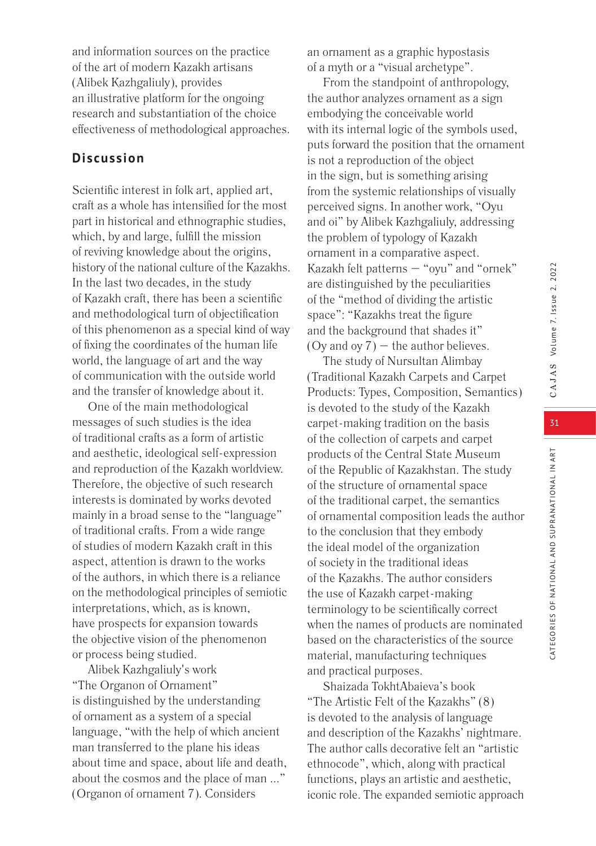and information sources on the practice of the art of modern Kazakh artisans (Alibek Kazhgaliuly), provides an illustrative platform for the ongoing research and substantiation of the choice effectiveness of methodological approaches.

# **Discussion**

Scientific interest in folk art, applied art, craft as a whole has intensified for the most part in historical and ethnographic studies, which, by and large, fulfill the mission of reviving knowledge about the origins, history of the national culture of the Kazakhs. In the last two decades, in the study of Kazakh craft, there has been a scientific and methodological turn of objectification of this phenomenon as a special kind of way of fixing the coordinates of the human life world, the language of art and the way of communication with the outside world and the transfer of knowledge about it.

One of the main methodological messages of such studies is the idea of traditional crafts as a form of artistic and aesthetic, ideological self-expression and reproduction of the Kazakh worldview. Therefore, the objective of such research interests is dominated by works devoted mainly in a broad sense to the "language" of traditional crafts. From a wide range of studies of modern Kazakh craft in this aspect, attention is drawn to the works of the authors, in which there is a reliance on the methodological principles of semiotic interpretations, which, as is known, have prospects for expansion towards the objective vision of the phenomenon or process being studied.

Alibek Kazhgaliuly's work "The Organon of Ornament" is distinguished by the understanding of ornament as a system of a special language, "with the help of which ancient man transferred to the plane his ideas about time and space, about life and death, about the cosmos and the place of man ..." (Organon of ornament 7). Considers

an ornament as a graphic hypostasis of a myth or a "visual archetype".

From the standpoint of anthropology, the author analyzes ornament as a sign embodying the conceivable world with its internal logic of the symbols used, puts forward the position that the ornament is not a reproduction of the object in the sign, but is something arising from the systemic relationships of visually perceived signs. In another work, "Oyu and oi" by Alibek Kazhgaliuly, addressing the problem of typology of Kazakh ornament in a comparative aspect. Kazakh felt patterns – "oyu" and "ornek" are distinguished by the peculiarities of the "method of dividing the artistic space": "Kazakhs treat the figure and the background that shades it" (Oy and  $\alpha$   $\gamma$ ) – the author believes.

The study of Nursultan Alimbay (Traditional Kazakh Carpets and Carpet Products: Types, Composition, Semantics) is devoted to the study of the Kazakh carpet-making tradition on the basis of the collection of carpets and carpet products of the Central State Museum of the Republic of Kazakhstan. The study of the structure of ornamental space of the traditional carpet, the semantics of ornamental composition leads the author to the conclusion that they embody the ideal model of the organization of society in the traditional ideas of the Kazakhs. The author considers the use of Kazakh carpet-making terminology to be scientifically correct when the names of products are nominated based on the characteristics of the source material, manufacturing techniques and practical purposes.

Shaizada TokhtAbaieva's book "The Artistic Felt of the Kazakhs" (8) is devoted to the analysis of language and description of the Kazakhs' nightmare. The author calls decorative felt an "artistic ethnocode", which, along with practical functions, plays an artistic and aesthetic, iconic role. The expanded semiotic approach CATEGORIES OF NATIONAL AND SUPRANATIONAL IN ART

CATEGORIES OF NATIONAL AND SUPRANATIONAL IN ART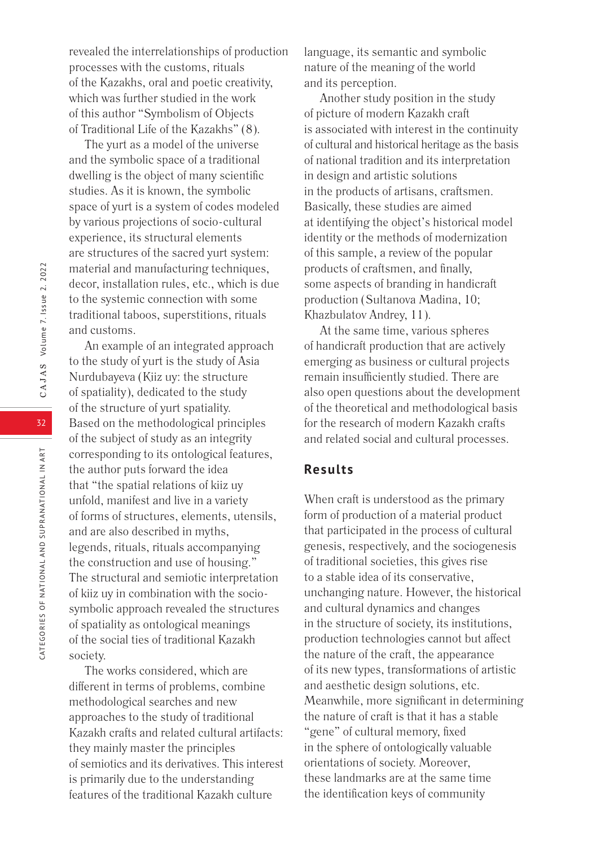revealed the interrelationships of production processes with the customs, rituals of the Kazakhs, oral and poetic creativity, which was further studied in the work of this author "Symbolism of Objects of Traditional Life of the Kazakhs" (8).

The yurt as a model of the universe and the symbolic space of a traditional dwelling is the object of many scientific studies. As it is known, the symbolic space of yurt is a system of codes modeled by various projections of socio-cultural experience, its structural elements are structures of the sacred yurt system: material and manufacturing techniques, decor, installation rules, etc., which is due to the systemic connection with some traditional taboos, superstitions, rituals and customs.

An example of an integrated approach to the study of yurt is the study of Asia Nurdubayeva (Kiiz uy: the structure of spatiality), dedicated to the study of the structure of yurt spatiality. Based on the methodological principles of the subject of study as an integrity corresponding to its ontological features, the author puts forward the idea that "the spatial relations of kiiz uy unfold, manifest and live in a variety of forms of structures, elements, utensils, and are also described in myths, legends, rituals, rituals accompanying the construction and use of housing." The structural and semiotic interpretation of kiiz uy in combination with the sociosymbolic approach revealed the structures of spatiality as ontological meanings of the social ties of traditional Kazakh society.

The works considered, which are different in terms of problems, combine methodological searches and new approaches to the study of traditional Kazakh crafts and related cultural artifacts: they mainly master the principles of semiotics and its derivatives. This interest is primarily due to the understanding features of the traditional Kazakh culture

language, its semantic and symbolic nature of the meaning of the world and its perception.

Another study position in the study of picture of modern Kazakh craft is associated with interest in the continuity of cultural and historical heritage as the basis of national tradition and its interpretation in design and artistic solutions in the products of artisans, craftsmen. Basically, these studies are aimed at identifying the object's historical model identity or the methods of modernization of this sample, a review of the popular products of craftsmen, and finally, some aspects of branding in handicraft production (Sultanova Madina, 10; Khazbulatov Andrey, 11).

At the same time, various spheres of handicraft production that are actively emerging as business or cultural projects remain insufficiently studied. There are also open questions about the development of the theoretical and methodological basis for the research of modern Kazakh crafts and related social and cultural processes.

# **Results**

When craft is understood as the primary form of production of a material product that participated in the process of cultural genesis, respectively, and the sociogenesis of traditional societies, this gives rise to a stable idea of its conservative, unchanging nature. However, the historical and cultural dynamics and changes in the structure of society, its institutions, production technologies cannot but affect the nature of the craft, the appearance of its new types, transformations of artistic and aesthetic design solutions, etc. Meanwhile, more significant in determining the nature of craft is that it has a stable "gene" of cultural memory, fixed in the sphere of ontologically valuable orientations of society. Moreover, these landmarks are at the same time the identification keys of community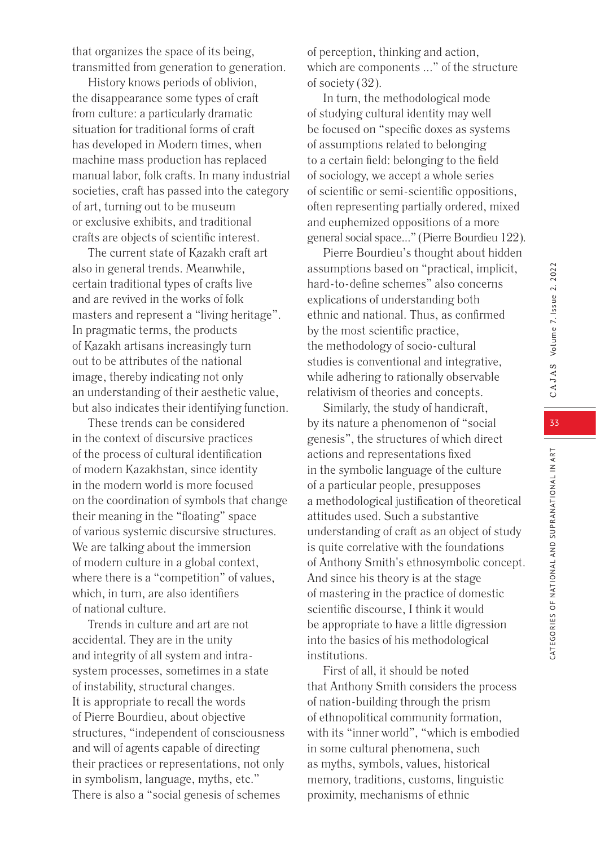that organizes the space of its being, transmitted from generation to generation.

History knows periods of oblivion, the disappearance some types of craft from culture: a particularly dramatic situation for traditional forms of craft has developed in Modern times, when machine mass production has replaced manual labor, folk crafts. In many industrial societies, craft has passed into the category of art, turning out to be museum or exclusive exhibits, and traditional crafts are objects of scientific interest.

The current state of Kazakh craft art also in general trends. Meanwhile, certain traditional types of crafts live and are revived in the works of folk masters and represent a "living heritage". In pragmatic terms, the products of Kazakh artisans increasingly turn out to be attributes of the national image, thereby indicating not only an understanding of their aesthetic value, but also indicates their identifying function.

These trends can be considered in the context of discursive practices of the process of cultural identification of modern Kazakhstan, since identity in the modern world is more focused on the coordination of symbols that change their meaning in the "floating" space of various systemic discursive structures. We are talking about the immersion of modern culture in a global context, where there is a "competition" of values, which, in turn, are also identifiers of national culture.

Trends in culture and art are not accidental. They are in the unity and integrity of all system and intrasystem processes, sometimes in a state of instability, structural changes. It is appropriate to recall the words of Pierre Bourdieu, about objective structures, "independent of consciousness and will of agents capable of directing their practices or representations, not only in symbolism, language, myths, etc." There is also a "social genesis of schemes

of perception, thinking and action, which are components ..." of the structure of society (32).

In turn, the methodological mode of studying cultural identity may well be focused on "specific doxes as systems of assumptions related to belonging to a certain field: belonging to the field of sociology, we accept a whole series of scientific or semi-scientific oppositions, often representing partially ordered, mixed and euphemized oppositions of a more general social space..." (Pierre Bourdieu 122).

Pierre Bourdieu's thought about hidden assumptions based on "practical, implicit, hard-to-define schemes" also concerns explications of understanding both ethnic and national. Thus, as confirmed by the most scientific practice, the methodology of socio-cultural studies is conventional and integrative, while adhering to rationally observable relativism of theories and concepts.

Similarly, the study of handicraft, by its nature a phenomenon of "social genesis", the structures of which direct actions and representations fixed in the symbolic language of the culture of a particular people, presupposes a methodological justification of theoretical attitudes used. Such a substantive understanding of craft as an object of study is quite correlative with the foundations of Anthony Smith's ethnosymbolic concept. And since his theory is at the stage of mastering in the practice of domestic scientific discourse, I think it would be appropriate to have a little digression into the basics of his methodological institutions.

First of all, it should be noted that Anthony Smith considers the process of nation-building through the prism of ethnopolitical community formation, with its "inner world", "which is embodied in some cultural phenomena, such as myths, symbols, values, historical memory, traditions, customs, linguistic proximity, mechanisms of ethnic

CATEGORIES OF NATIONAL AND SUPRANATIONAL IN ART

CATEGORIES OF NATIONAL AND SUPRANATIONAL IN ART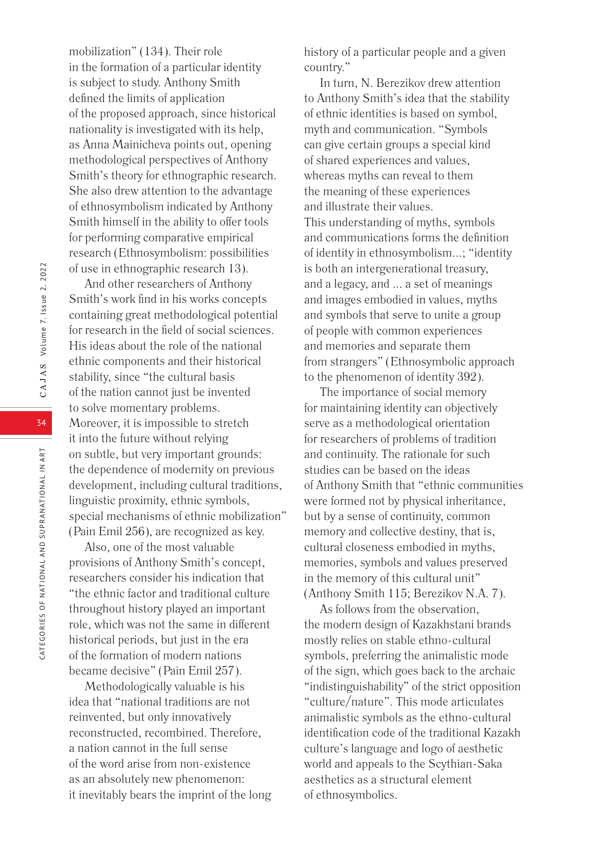mobilization" (134). Their role in the formation of a particular identity is subject to study. Anthony Smith defined the limits of application of the proposed approach, since historical nationality is investigated with its help, as Anna Mainicheva points out, opening methodological perspectives of Anthony Smith's theory for ethnographic research. She also drew attention to the advantage of ethnosymbolism indicated by Anthony Smith himself in the ability to offer tools for performing comparative empirical research (Ethnosymbolism: possibilities of use in ethnographic research 13).

And other researchers of Anthony Smith's work find in his works concepts containing great methodological potential for research in the field of social sciences. His ideas about the role of the national ethnic components and their historical stability, since "the cultural basis of the nation cannot just be invented to solve momentary problems. Moreover, it is impossible to stretch it into the future without relying on subtle, but very important grounds: the dependence of modernity on previous development, including cultural traditions, linguistic proximity, ethnic symbols, special mechanisms of ethnic mobilization" (Pain Emil 256), are recognized as key.

Also, one of the most valuable provisions of Anthony Smith's concept, researchers consider his indication that "the ethnic factor and traditional culture throughout history played an important role, which was not the same in different historical periods, but just in the era of the formation of modern nations became decisive" (Pain Emil 257).

Methodologically valuable is his idea that "national traditions are not reinvented, but only innovatively reconstructed, recombined. Therefore, a nation cannot in the full sense of the word arise from non-existence as an absolutely new phenomenon: it inevitably bears the imprint of the long history of a particular people and a given country."

In turn, N. Berezikov drew attention to Anthony Smith's idea that the stability of ethnic identities is based on symbol, myth and communication. "Symbols can give certain groups a special kind of shared experiences and values, whereas myths can reveal to them the meaning of these experiences and illustrate their values. This understanding of myths, symbols and communications forms the definition of identity in ethnosymbolism...; "identity is both an intergenerational treasury, and a legacy, and ... a set of meanings and images embodied in values, myths and symbols that serve to unite a group of people with common experiences and memories and separate them from strangers" (Ethnosymbolic approach to the phenomenon of identity 392).

The importance of social memory for maintaining identity can objectively serve as a methodological orientation for researchers of problems of tradition and continuity. The rationale for such studies can be based on the ideas of Anthony Smith that "ethnic communities were formed not by physical inheritance, but by a sense of continuity, common memory and collective destiny, that is, cultural closeness embodied in myths, memories, symbols and values preserved in the memory of this cultural unit" (Anthony Smith 115; Berezikov N.A. 7).

As follows from the observation, the modern design of Kazakhstani brands mostly relies on stable ethno-cultural symbols, preferring the animalistic mode of the sign, which goes back to the archaic "indistinguishability" of the strict opposition "culture/nature". This mode articulates animalistic symbols as the ethno-cultural identification code of the traditional Kazakh culture's language and logo of aesthetic world and appeals to the Scythian-Saka aesthetics as a structural element of ethnosymbolics.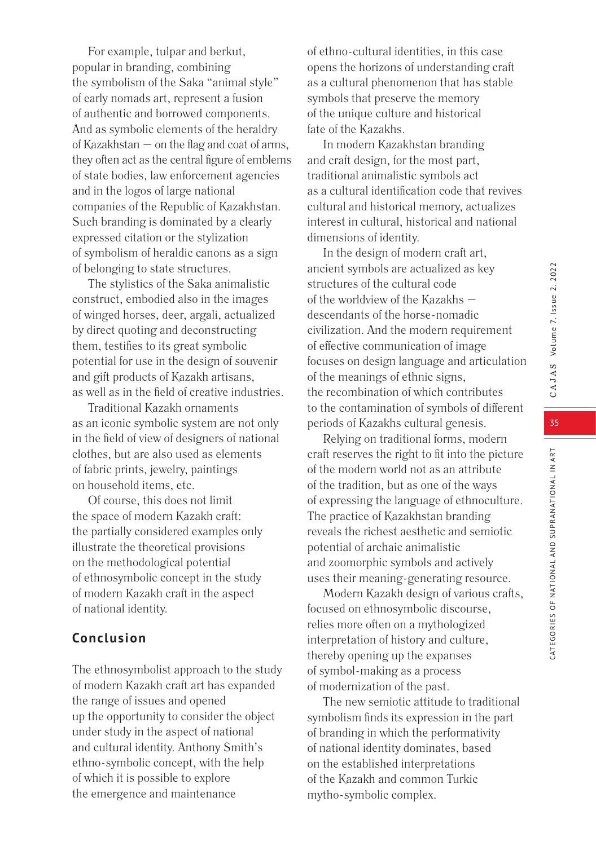35

CATEGORIES OF NATIONAL AND SUPRANATIONAL IN ART

CATEGORIES OF NATIONAL AND SUPRANATIONAL IN ART

For example, tulpar and berkut, popular in branding, combining the symbolism of the Saka "animal style" of early nomads art, represent a fusion of authentic and borrowed components. And as symbolic elements of the heraldry of Kazakhstan – on the flag and coat of arms, they often act as the central figure of emblems of state bodies, law enforcement agencies and in the logos of large national companies of the Republic of Kazakhstan. Such branding is dominated by a clearly expressed citation or the stylization of symbolism of heraldic canons as a sign of belonging to state structures.

The stylistics of the Saka animalistic construct, embodied also in the images of winged horses, deer, argali, actualized by direct quoting and deconstructing them, testifies to its great symbolic potential for use in the design of souvenir and gift products of Kazakh artisans, as well as in the field of creative industries.

Traditional Kazakh ornaments as an iconic symbolic system are not only in the field of view of designers of national clothes, but are also used as elements of fabric prints, jewelry, paintings on household items, etc.

Of course, this does not limit the space of modern Kazakh craft: the partially considered examples only illustrate the theoretical provisions on the methodological potential of ethnosymbolic concept in the study of modern Kazakh craft in the aspect of national identity.

# **Conclusion**

The ethnosymbolist approach to the study of modern Kazakh craft art has expanded the range of issues and opened up the opportunity to consider the object under study in the aspect of national and cultural identity. Anthony Smith's ethno-symbolic concept, with the help of which it is possible to explore the emergence and maintenance

of ethno-cultural identities, in this case opens the horizons of understanding craft as a cultural phenomenon that has stable symbols that preserve the memory of the unique culture and historical fate of the Kazakhs.

In modern Kazakhstan branding and craft design, for the most part, traditional animalistic symbols act as a cultural identification code that revives cultural and historical memory, actualizes interest in cultural, historical and national dimensions of identity.

In the design of modern craft art, ancient symbols are actualized as key structures of the cultural code of the worldview of the Kazakhs – descendants of the horse-nomadic civilization. And the modern requirement of effective communication of image focuses on design language and articulation of the meanings of ethnic signs, the recombination of which contributes to the contamination of symbols of different periods of Kazakhs cultural genesis.

Relying on traditional forms, modern craft reserves the right to fit into the picture of the modern world not as an attribute of the tradition, but as one of the ways of expressing the language of ethnoculture. The practice of Kazakhstan branding reveals the richest aesthetic and semiotic potential of archaic animalistic and zoomorphic symbols and actively uses their meaning-generating resource.

Modern Kazakh design of various crafts, focused on ethnosymbolic discourse, relies more often on a mythologized interpretation of history and culture, thereby opening up the expanses of symbol-making as a process of modernization of the past.

The new semiotic attitude to traditional symbolism finds its expression in the part of branding in which the performativity of national identity dominates, based on the established interpretations of the Kazakh and common Turkic mytho-symbolic complex.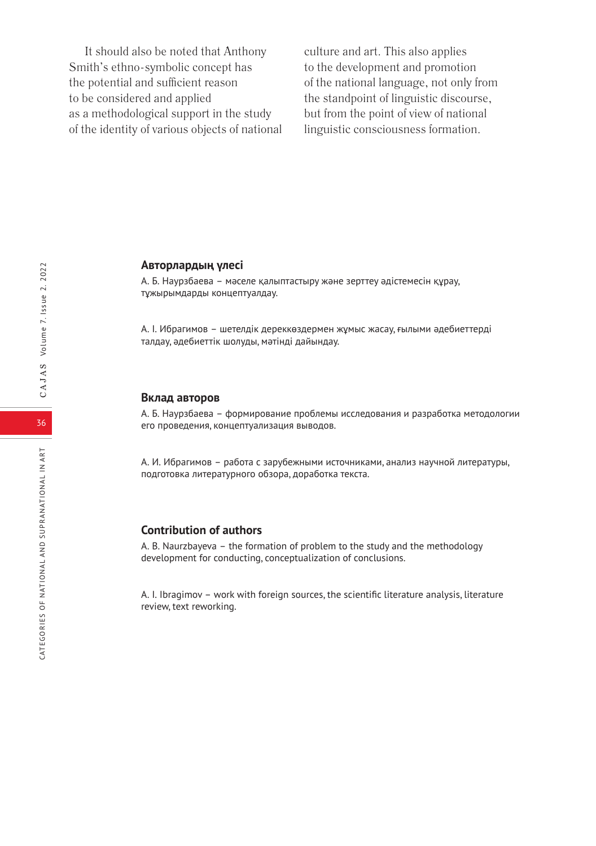It should also be noted that Anthony Smith's ethno-symbolic concept has the potential and sufficient reason to be considered and applied as a methodological support in the study of the identity of various objects of national culture and art. This also applies to the development and promotion of the national language, not only from the standpoint of linguistic discourse, but from the point of view of national linguistic consciousness formation.

# **Авторлардың үлесі**

А. Б. Наурзбаева – мәселе қалыптастыру және зерттеу әдістемесін құрау, тұжырымдарды концептуалдау.

А. І. Ибрагимов – шетелдік дереккөздермен жұмыс жасау, ғылыми әдебиеттерді талдау, әдебиеттік шолуды, мәтінді дайындау.

# **Вклад авторов**

А. Б. Наурзбаева – формирование проблемы исследования и разработка методологии его проведения, концептуализация выводов.

А. И. Ибрагимов – работа с зарубежными источниками, анализ научной литературы, подготовка литературного обзора, доработка текста.

# **Contribution of authors**

A. B. Naurzbayeva – the formation of problem to the study and the methodology development for conducting, conceptualization of conclusions.

A. I. Ibragimov – work with foreign sources, the scientific literature analysis, literature review, text reworking.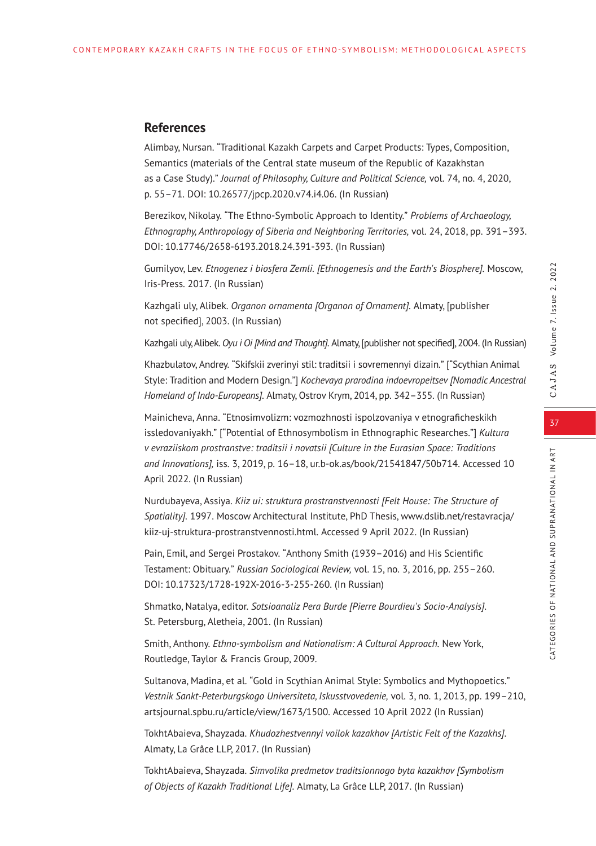# **References**

Alimbay, Nursan. "Traditional Kazakh Carpets and Carpet Products: Types, Composition, Semantics (materials of the Central state museum of the Republic of Kazakhstan as a Case Study)." *Journal of Philosophy, Culture and Political Science,* vol. 74, no. 4, 2020, p. 55–71. DOI: 10.26577/jpcp.2020.v74.i4.06. (In Russian)

Berezikov, Nikolay. "The Ethno-Symbolic Approach to Identity." *Problems of Archaeology, Ethnography, Anthropology of Siberia and Neighboring Territories,* vol. 24, 2018, pp. 391–393. DOI: 10.17746/2658-6193.2018.24.391-393. (In Russian)

Gumilyov, Lev. *Etnogenez i biosfera Zemli. [Ethnogenesis and the Earth's Biosphere].* Moscow, Iris-Press. 2017. (In Russian)

Kazhgali uly, Alibek. *Organon ornamenta [Organon of Ornament].* Almaty, [publisher not specified], 2003. (In Russian)

Kazhgali uly, Alibek. *Oyu i Oi [Mind and Thought].* Almaty, [publisher not specified], 2004. (In Russian)

Khazbulatov, Andrey. "Skifskii zverinyi stil: traditsii i sovremennyi dizain." ["Scythian Animal Style: Tradition and Modern Design."] *Kochevaya prarodina indoevropeitsev [Nomadic Ancestral Homeland of Indo-Europeans].* Almaty, Ostrov Krym, 2014, pp. 342–355. (In Russian)

Mainicheva, Anna. "Etnosimvolizm: vozmozhnosti ispolzovaniya v etnograficheskikh issledovaniyakh." ["Potential of Ethnosymbolism in Ethnographic Researches."] *Kultura v evraziiskom prostranstve: traditsii i novatsii [Culture in the Eurasian Space: Traditions and Innovations],* iss. 3, 2019, p. 16–18, ur.b-ok.as/book/21541847/50b714. Accessed 10 April 2022. (In Russian)

Nurdubayeva, Assiya. *Kiiz ui: struktura prostranstvennosti [Felt House: The Structure of Spatiality].* 1997. Moscow Architectural Institute, PhD Thesis, www.dslib.net/restavracja/ kiiz-uj-struktura-prostranstvennosti.html. Accessed 9 April 2022. (In Russian)

Pain, Emil, and Sergei Prostakov. "Anthony Smith (1939–2016) and His Scientific Testament: Obituary." *Russian Sociological Review,* vol. 15, no. 3, 2016, pp. 255–260. DOI: 10.17323/1728-192X-2016-3-255-260. (In Russian)

Shmatko, Natalya, editor. *Sotsioanaliz Pera Burde [Pierre Bourdieu's Socio-Analysis].* St. Petersburg, Aletheia, 2001. (In Russian)

Smith, Anthony. *Ethno-symbolism and Nationalism: A Cultural Approach.* New York, Routledge, Taylor & Francis Group, 2009.

Sultanova, Madina, et al. "Gold in Scythian Animal Style: Symbolics and Mythopoetics." *Vestnik Sankt-Peterburgskogo Universiteta, Iskusstvovedenie,* vol. 3, no. 1, 2013, pp. 199–210, artsjournal.spbu.ru/article/view/1673/1500. Accessed 10 April 2022 (In Russian)

TokhtAbaieva, Shayzada. *Khudozhestvennyi voilok kazakhov [Artistic Felt of the Kazakhs].* Almaty, La Grâce LLP, 2017. (In Russian)

TokhtAbaieva, Shayzada. *Simvolika predmetov traditsionnogo byta kazakhov [Symbolism of Objects of Kazakh Traditional Life].* Almaty, La Grâce LLP, 2017. (In Russian)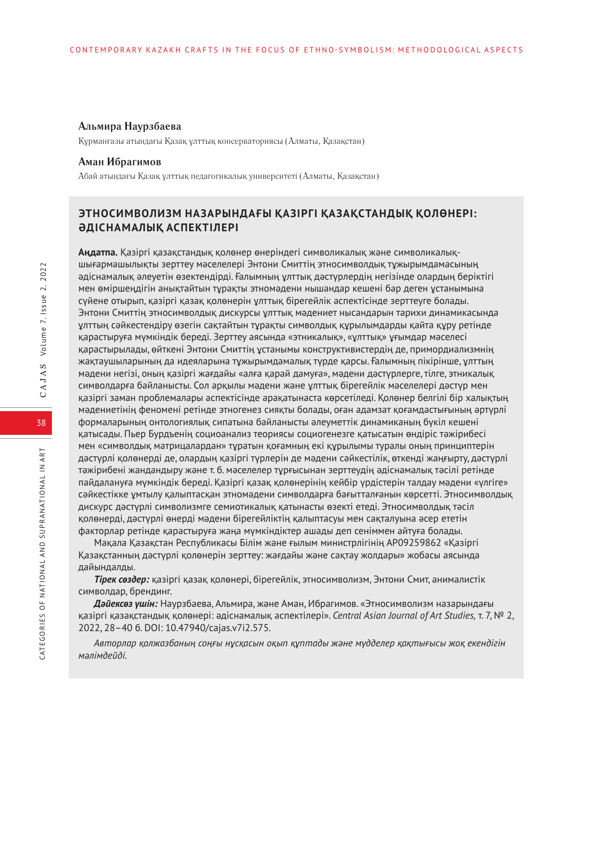#### **Альмира Наурзбаева**

Құрманғазы атындағы Қазақ ұлттық консерваториясы (Алматы, Қазақстан)

#### **Аман Ибрагимов**

Абай атындағы Қазақ ұлттық педагогикалық университеті (Алматы, Қазақстан)

# **ЭТНОСИМВОЛИЗМ НАЗАРЫНДАҒЫ ҚАЗІРГІ ҚАЗАҚСТАНДЫҚ ҚОЛӨНЕРІ: ӘДІСНАМАЛЫҚ АСПЕКТІЛЕРІ**

**Аңдатпа.** Қазіргі қазақстандық қолөнер өнеріндегі символикалық және символикалықшығармашылықты зерттеу мәселелері Энтони Смиттің этносимволдық тұжырымдамасының әдіснамалық әлеуетін өзектендірді. Ғалымның ұлттық дәстүрлердің негізінде олардың беріктігі мен өміршеңдігін анықтайтын тұрақты этномәдени нышандар кешені бар деген ұстанымына сүйене отырып, қазіргі қазақ қолөнерін ұлттық бірегейлік аспектісінде зерттеуге болады. Энтони Смиттің этносимволдық дискурсы ұлттық мәдениет нысандарын тарихи динамикасында ұлттың сәйкестендіру өзегін сақтайтын тұрақты символдық құрылымдарды қайта құру ретінде қарастыруға мүмкіндік береді. Зерттеу аясында «этникалық», «ұлттық» ұғымдар мәселесі қарастырылады, өйткені Энтони Смиттің ұстанымы конструктивистердің де, примордиализмнің жақтаушыларының да идеяларына тұжырымдамалық түрде қарсы. Ғалымның пікірінше, ұлттың мәдени негізі, оның қазіргі жағдайы «алға қарай дамуға», мәдени дәстүрлерге, тілге, этникалық символдарға байланысты. Сол арқылы мәдени және ұлттық бірегейлік мәселелері дәстүр мен қазіргі заман проблемалары аспектісінде арақатынаста көрсетіледі. Қолөнер белгілі бір халықтың мәдениетінің феномені ретінде этногенез сияқты болады, оған адамзат қоғамдастығының әртүрлі формаларының онтологиялық сипатына байланысты әлеуметтік динамиканың бүкіл кешені қатысады. Пьер Бурдъенің социоанализ теориясы социогенезге қатысатын өндіріс тәжірибесі мен «символдық матрицалардан» тұратын қоғамның екі құрылымы туралы оның принциптерін дәстүрлі қолөнерді де, олардың қазіргі түрлерін де мәдени сәйкестілік, өткенді жаңғырту, дәстүрлі тәжірибені жандандыру және т. б. мәселелер тұрғысынан зерттеудің әдіснамалық тәсілі ретінде пайдалануға мүмкіндік береді. Қазіргі қазақ қолөнерінің кейбір үрдістерін талдау мәдени «үлгіге» сәйкестікке ұмтылу қалыптасқан этномәдени символдарға бағытталғанын көрсетті. Этносимволдық дискурс дәстүрлі символизмге семиотикалық қатынасты өзекті етеді. Этносимволдық тәсіл қолөнерді, дәстүрлі өнерді мәдени бірегейліктің қалыптасуы мен сақталуына әсер ететін факторлар ретінде қарастыруға жаңа мүмкіндіктер ашады деп сеніммен айтуға болады.

Мақала Қазақстан Республикасы Білім және ғылым министрлігінің АР09259862 «Қазіргі Қазақстанның дәстүрлі қолөнерін зерттеу: жағдайы және сақтау жолдары» жобасы аясында дайындалды.

*Тірек сөздер:* қазіргі қазақ қолөнері, бірегейлік, этносимволизм, Энтони Смит, анималистік символдар, брендинг.

*Дәйексөз үшін:* Наурзбаева, Альмира, және Аман, Ибрагимов. «Этносимволизм назарындағы қазіргі қазақстандық қолөнері: әдіснамалық аспектілері». *Central Asian Journal of Art Studies,* т. 7, № 2, 2022, 28–40 б. DOI: 10.47940/cajas.v7i2.575.

*Авторлар қолжазбаның соңғы нұсқасын оқып құптады және мүдделер қақтығысы жоқ екендігін мәлімдейді.*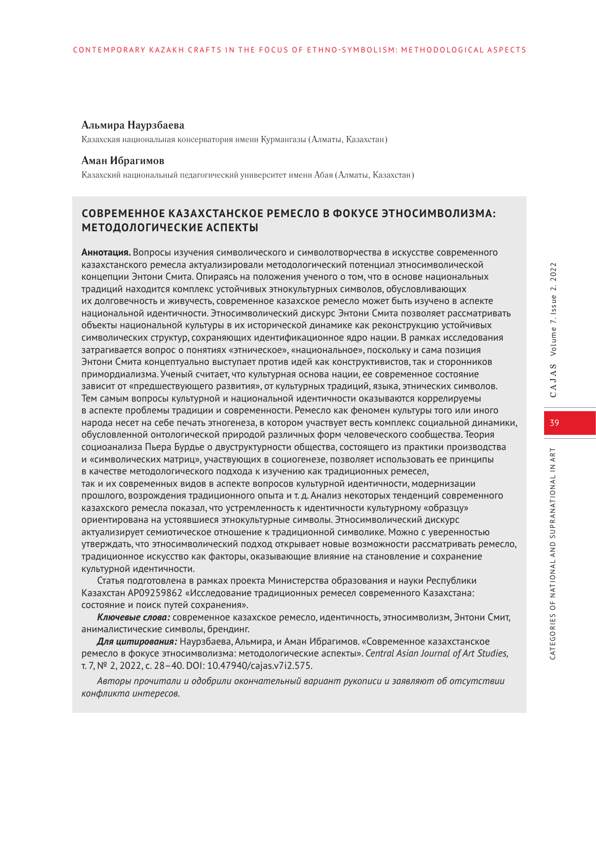#### **Альмира Наурзбаева**

Казахская национальная консерватория имени Курмангазы (Алматы, Казахстан)

#### **Аман Ибрагимов**

Казахский национальный педагогический университет имени Абая (Алматы, Казахстан)

# **СОВРЕМЕННОЕ КАЗАХСТАНСКОЕ РЕМЕСЛО В ФОКУСЕ ЭТНОСИМВОЛИЗМА: МЕТОДОЛОГИЧЕСКИЕ АСПЕКТЫ**

**Аннотация.** Вопросы изучения символического и символотворчества в искусстве современного казахстанского ремесла актуализировали методологический потенциал этносимволической концепции Энтони Смита. Опираясь на положения ученого о том, что в основе национальных традиций находится комплекс устойчивых этнокультурных символов, обусловливающих их долговечность и живучесть, современное казахское ремесло может быть изучено в аспекте национальной идентичности. Этносимволический дискурс Энтони Смита позволяет рассматривать объекты национальной культуры в их исторической динамике как реконструкцию устойчивых символических структур, сохраняющих идентификационное ядро нации. В рамках исследования затрагивается вопрос о понятиях «этническое», «национальное», поскольку и сама позиция Энтони Смита концептуально выступает против идей как конструктивистов, так и сторонников примордиализма. Ученый считает, что культурная основа нации, ее современное состояние зависит от «предшествующего развития», от культурных традиций, языка, этнических символов. Тем самым вопросы культурной и национальной идентичности оказываются коррелируемы в аспекте проблемы традиции и современности. Ремесло как феномен культуры того или иного народа несет на себе печать этногенеза, в котором участвует весть комплекс социальной динамики, обусловленной онтологической природой различных форм человеческого сообщества. Теория социоанализа Пьера Бурдье о двуструктурности общества, состоящего из практики производства и «символических матриц», участвующих в социогенезе, позволяет использовать ее принципы в качестве методологического подхода к изучению как традиционных ремесел, так и их современных видов в аспекте вопросов культурной идентичности, модернизации прошлого, возрождения традиционного опыта и т. д. Анализ некоторых тенденций современного казахского ремесла показал, что устремленность к идентичности культурному «образцу» ориентирована на устоявшиеся этнокультурные символы. Этносимволический дискурс актуализирует семиотическое отношение к традиционной символике. Можно с уверенностью утверждать, что этносимволический подход открывает новые возможности рассматривать ремесло, традиционное искусство как факторы, оказывающие влияние на становление и сохранение культурной идентичности.

Статья подготовлена в рамках проекта Министерства образования и науки Республики Казахстан АР09259862 «Исследование традиционных ремесел современного Казахстана: состояние и поиск путей сохранения».

*Ключевые слова:* современное казахское ремесло, идентичность, этносимволизм, Энтони Смит, анималистические символы, брендинг.

*Для цитирования:* Наурзбаева, Альмира, и Аман Ибрагимов. «Современное казахстанское ремесло в фокусе этносимволизма: методологические аспекты». *Central Asian Journal of Art Studies,* т. 7, № 2, 2022, с. 28–40. DOI: 10.47940/cajas.v7i2.575.

*Авторы прочитали и одобрили окончательный вариант рукописи и заявляют об отсутствии конфликта интересов.*